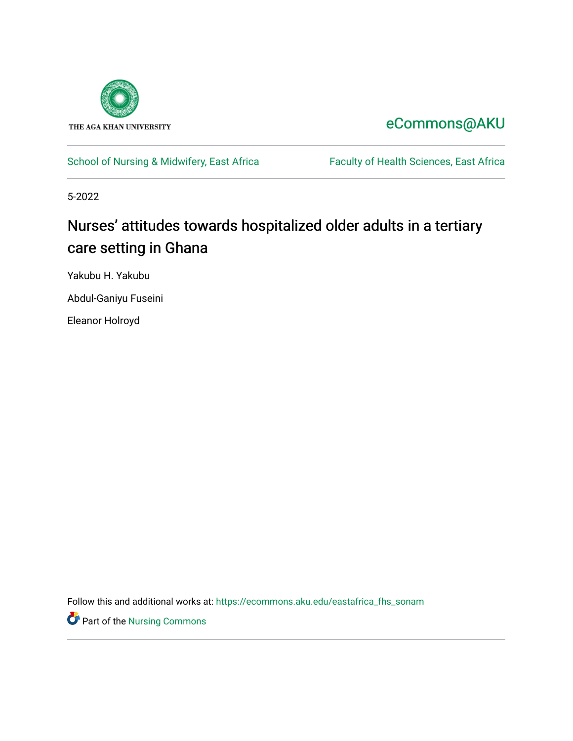

## [eCommons@AKU](https://ecommons.aku.edu/)

## [School of Nursing & Midwifery, East Africa](https://ecommons.aku.edu/eastafrica_fhs_sonam) Faculty of Health Sciences, East Africa

5-2022

# Nurses' attitudes towards hospitalized older adults in a tertiary care setting in Ghana

Yakubu H. Yakubu

Abdul-Ganiyu Fuseini

Eleanor Holroyd

Follow this and additional works at: [https://ecommons.aku.edu/eastafrica\\_fhs\\_sonam](https://ecommons.aku.edu/eastafrica_fhs_sonam?utm_source=ecommons.aku.edu%2Feastafrica_fhs_sonam%2F419&utm_medium=PDF&utm_campaign=PDFCoverPages) 

**P** Part of the Nursing Commons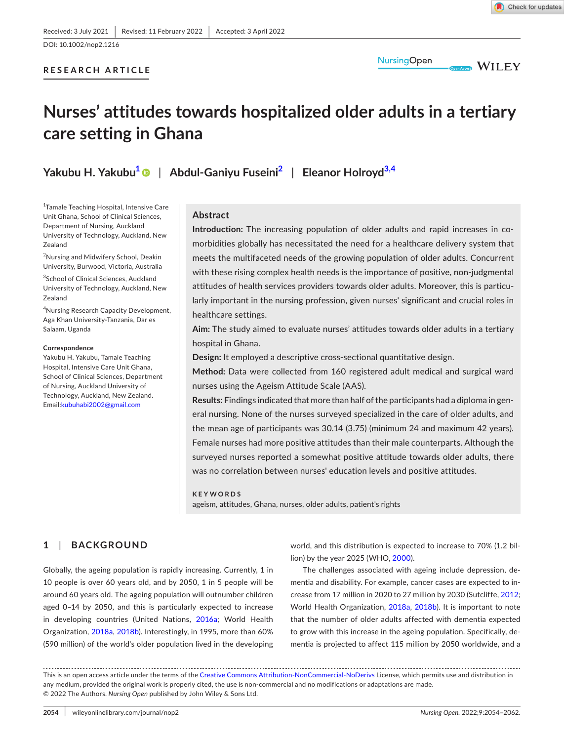**RESEARCH ARTICLE**

**NursingOpen** 

**WILEY** 

# **Nurses' attitudes towards hospitalized older adults in a tertiary care setting in Ghana**

**Yakubu H. Yakubu[1](#page-1-0)** | **Abdul-Ganiyu Fuseini[2](#page-1-1)** | **Eleanor Holroyd[3,4](#page-1-2)**

<span id="page-1-0"></span>1 Tamale Teaching Hospital, Intensive Care Unit Ghana, School of Clinical Sciences, Department of Nursing, Auckland University of Technology, Auckland, New Zealand

<span id="page-1-1"></span>2 Nursing and Midwifery School, Deakin University, Burwood, Victoria, Australia

<span id="page-1-2"></span><sup>3</sup>School of Clinical Sciences, Auckland University of Technology, Auckland, New Zealand

4 Nursing Research Capacity Development, Aga Khan University-Tanzania, Dar es Salaam, Uganda

#### **Correspondence**

Yakubu H. Yakubu, Tamale Teaching Hospital, Intensive Care Unit Ghana, School of Clinical Sciences, Department of Nursing, Auckland University of Technology, Auckland, New Zealand. Email:[kubuhabi2002@gmail.com](mailto:kubuhabi2002@gmail.com)

## **Abstract**

**Introduction:** The increasing population of older adults and rapid increases in comorbidities globally has necessitated the need for a healthcare delivery system that meets the multifaceted needs of the growing population of older adults. Concurrent with these rising complex health needs is the importance of positive, non-judgmental attitudes of health services providers towards older adults. Moreover, this is particularly important in the nursing profession, given nurses' significant and crucial roles in healthcare settings.

**Aim:** The study aimed to evaluate nurses' attitudes towards older adults in a tertiary hospital in Ghana.

**Design:** It employed a descriptive cross-sectional quantitative design.

**Method:** Data were collected from 160 registered adult medical and surgical ward nurses using the Ageism Attitude Scale (AAS).

**Results:** Findings indicated that more than half of the participants had a diploma in general nursing. None of the nurses surveyed specialized in the care of older adults, and the mean age of participants was 30.14 (3.75) (minimum 24 and maximum 42 years). Female nurses had more positive attitudes than their male counterparts. Although the surveyed nurses reported a somewhat positive attitude towards older adults, there was no correlation between nurses' education levels and positive attitudes.

**KEYWORDS** ageism, attitudes, Ghana, nurses, older adults, patient's rights

## **1**  | **BACKGROUND**

Globally, the ageing population is rapidly increasing. Currently, 1 in 10 people is over 60 years old, and by 2050, 1 in 5 people will be around 60 years old. The ageing population will outnumber children aged 0–14 by 2050, and this is particularly expected to increase in developing countries (United Nations, [2016a;](#page-9-0) World Health Organization, [2018a](#page-9-1), [2018b\)](#page-9-2). Interestingly, in 1995, more than 60% (590 million) of the world's older population lived in the developing world, and this distribution is expected to increase to 70% (1.2 billion) by the year 2025 (WHO, [2000\)](#page-9-3).

The challenges associated with ageing include depression, dementia and disability. For example, cancer cases are expected to increase from 17 million in 2020 to 27 million by 2030 (Sutcliffe, [2012;](#page-9-4) World Health Organization, [2018a](#page-9-1), [2018b](#page-9-2)). It is important to note that the number of older adults affected with dementia expected to grow with this increase in the ageing population. Specifically, dementia is projected to affect 115 million by 2050 worldwide, and a

This is an open access article under the terms of the [Creative Commons Attribution-NonCommercial-NoDerivs](http://creativecommons.org/licenses/by-nc-nd/4.0/) License, which permits use and distribution in any medium, provided the original work is properly cited, the use is non-commercial and no modifications or adaptations are made. © 2022 The Authors. *Nursing Open* published by John Wiley & Sons Ltd.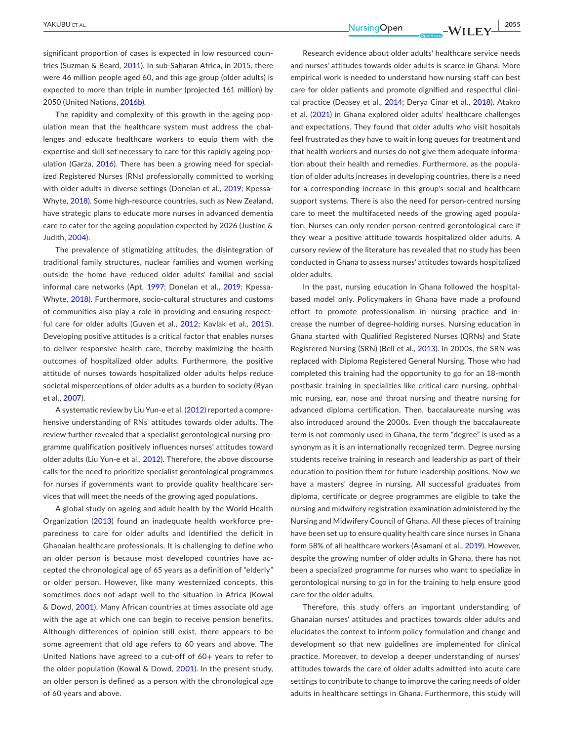significant proportion of cases is expected in low resourced countries (Suzman & Beard, [2011](#page-9-5)). In sub-Saharan Africa, in 2015, there were 46 million people aged 60, and this age group (older adults) is expected to more than triple in number (projected 161 million) by 2050 (United Nations, [2016b](#page-9-6)).

The rapidity and complexity of this growth in the ageing population mean that the healthcare system must address the challenges and educate healthcare workers to equip them with the expertise and skill set necessary to care for this rapidly ageing population (Garza, [2016](#page-8-0)). There has been a growing need for specialized Registered Nurses (RNs) professionally committed to working with older adults in diverse settings (Donelan et al., [2019](#page-8-1); Kpessa-Whyte, [2018\)](#page-9-7). Some high-resource countries, such as New Zealand, have strategic plans to educate more nurses in advanced dementia care to cater for the ageing population expected by 2026 (Justine & Judith, [2004](#page-9-8)).

The prevalence of stigmatizing attitudes, the disintegration of traditional family structures, nuclear families and women working outside the home have reduced older adults' familial and social informal care networks (Apt, [1997](#page-8-2); Donelan et al., [2019](#page-8-1); Kpessa-Whyte, [2018\)](#page-9-7). Furthermore, socio-cultural structures and customs of communities also play a role in providing and ensuring respect-ful care for older adults (Guven et al., [2012](#page-8-3); Kavlak et al., [2015](#page-9-9)). Developing positive attitudes is a critical factor that enables nurses to deliver responsive health care, thereby maximizing the health outcomes of hospitalized older adults. Furthermore, the positive attitude of nurses towards hospitalized older adults helps reduce societal misperceptions of older adults as a burden to society (Ryan et al., [2007\)](#page-9-10).

A systematic review by Liu Yun-e et al. ([2012\)](#page-9-11) reported a comprehensive understanding of RNs' attitudes towards older adults. The review further revealed that a specialist gerontological nursing programme qualification positively influences nurses' attitudes toward older adults (Liu Yun-e et al., [2012\)](#page-9-11). Therefore, the above discourse calls for the need to prioritize specialist gerontological programmes for nurses if governments want to provide quality healthcare services that will meet the needs of the growing aged populations.

A global study on ageing and adult health by the World Health Organization ([2013\)](#page-9-12) found an inadequate health workforce preparedness to care for older adults and identified the deficit in Ghanaian healthcare professionals. It is challenging to define who an older person is because most developed countries have accepted the chronological age of 65 years as a definition of "elderly" or older person. However, like many westernized concepts, this sometimes does not adapt well to the situation in Africa (Kowal & Dowd, [2001](#page-9-13)). Many African countries at times associate old age with the age at which one can begin to receive pension benefits. Although differences of opinion still exist, there appears to be some agreement that old age refers to 60 years and above. The United Nations have agreed to a cut-off of 60+ years to refer to the older population (Kowal & Dowd, [2001](#page-9-13)). In the present study, an older person is defined as a person with the chronological age of 60 years and above.

Research evidence about older adults' healthcare service needs and nurses' attitudes towards older adults is scarce in Ghana. More empirical work is needed to understand how nursing staff can best care for older patients and promote dignified and respectful clini-cal practice (Deasey et al., [2014;](#page-8-4) Derya Cinar et al., [2018](#page-8-5)). Atakro et al. ([2021\)](#page-8-6) in Ghana explored older adults' healthcare challenges and expectations. They found that older adults who visit hospitals feel frustrated as they have to wait in long queues for treatment and that health workers and nurses do not give them adequate information about their health and remedies. Furthermore, as the population of older adults increases in developing countries, there is a need for a corresponding increase in this group's social and healthcare support systems. There is also the need for person-centred nursing care to meet the multifaceted needs of the growing aged population. Nurses can only render person-centred gerontological care if they wear a positive attitude towards hospitalized older adults. A cursory review of the literature has revealed that no study has been conducted in Ghana to assess nurses' attitudes towards hospitalized older adults.

In the past, nursing education in Ghana followed the hospitalbased model only. Policymakers in Ghana have made a profound effort to promote professionalism in nursing practice and increase the number of degree-holding nurses. Nursing education in Ghana started with Qualified Registered Nurses (QRNs) and State Registered Nursing (SRN) (Bell et al., [2013\)](#page-8-7). In 2000s, the SRN was replaced with Diploma Registered General Nursing. Those who had completed this training had the opportunity to go for an 18-month postbasic training in specialities like critical care nursing, ophthalmic nursing, ear, nose and throat nursing and theatre nursing for advanced diploma certification. Then, baccalaureate nursing was also introduced around the 2000s. Even though the baccalaureate term is not commonly used in Ghana, the term "degree" is used as a synonym as it is an internationally recognized term. Degree nursing students receive training in research and leadership as part of their education to position them for future leadership positions. Now we have a masters' degree in nursing. All successful graduates from diploma, certificate or degree programmes are eligible to take the nursing and midwifery registration examination administered by the Nursing and Midwifery Council of Ghana. All these pieces of training have been set up to ensure quality health care since nurses in Ghana form 58% of all healthcare workers (Asamani et al., [2019](#page-8-8)). However, despite the growing number of older adults in Ghana, there has not been a specialized programme for nurses who want to specialize in gerontological nursing to go in for the training to help ensure good care for the older adults.

Therefore, this study offers an important understanding of Ghanaian nurses' attitudes and practices towards older adults and elucidates the context to inform policy formulation and change and development so that new guidelines are implemented for clinical practice. Moreover, to develop a deeper understanding of nurses' attitudes towards the care of older adults admitted into acute care settings to contribute to change to improve the caring needs of older adults in healthcare settings in Ghana. Furthermore, this study will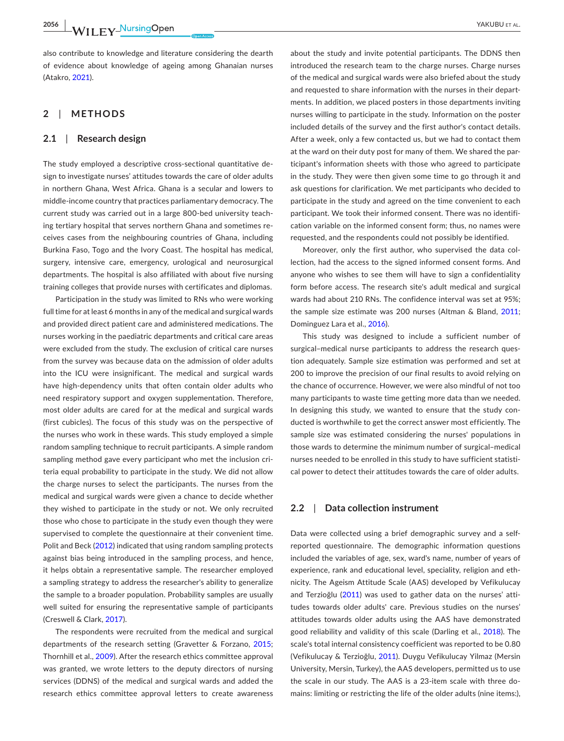also contribute to knowledge and literature considering the dearth of evidence about knowledge of ageing among Ghanaian nurses (Atakro, [2021\)](#page-8-9).

## **2**  | **METHODS**

#### **2.1**  | **Research design**

The study employed a descriptive cross-sectional quantitative design to investigate nurses' attitudes towards the care of older adults in northern Ghana, West Africa. Ghana is a secular and lowers to middle-income country that practices parliamentary democracy. The current study was carried out in a large 800-bed university teaching tertiary hospital that serves northern Ghana and sometimes receives cases from the neighbouring countries of Ghana, including Burkina Faso, Togo and the Ivory Coast. The hospital has medical, surgery, intensive care, emergency, urological and neurosurgical departments. The hospital is also affiliated with about five nursing training colleges that provide nurses with certificates and diplomas.

Participation in the study was limited to RNs who were working full time for at least 6 months in any of the medical and surgical wards and provided direct patient care and administered medications. The nurses working in the paediatric departments and critical care areas were excluded from the study. The exclusion of critical care nurses from the survey was because data on the admission of older adults into the ICU were insignificant. The medical and surgical wards have high-dependency units that often contain older adults who need respiratory support and oxygen supplementation. Therefore, most older adults are cared for at the medical and surgical wards (first cubicles). The focus of this study was on the perspective of the nurses who work in these wards. This study employed a simple random sampling technique to recruit participants. A simple random sampling method gave every participant who met the inclusion criteria equal probability to participate in the study. We did not allow the charge nurses to select the participants. The nurses from the medical and surgical wards were given a chance to decide whether they wished to participate in the study or not. We only recruited those who chose to participate in the study even though they were supervised to complete the questionnaire at their convenient time. Polit and Beck ([2012](#page-9-14)) indicated that using random sampling protects against bias being introduced in the sampling process, and hence, it helps obtain a representative sample. The researcher employed a sampling strategy to address the researcher's ability to generalize the sample to a broader population. Probability samples are usually well suited for ensuring the representative sample of participants (Creswell & Clark, [2017\)](#page-8-10).

The respondents were recruited from the medical and surgical departments of the research setting (Gravetter & Forzano, [2015](#page-8-11); Thornhill et al., [2009](#page-9-15)). After the research ethics committee approval was granted, we wrote letters to the deputy directors of nursing services (DDNS) of the medical and surgical wards and added the research ethics committee approval letters to create awareness

about the study and invite potential participants. The DDNS then introduced the research team to the charge nurses. Charge nurses of the medical and surgical wards were also briefed about the study and requested to share information with the nurses in their departments. In addition, we placed posters in those departments inviting nurses willing to participate in the study. Information on the poster included details of the survey and the first author's contact details. After a week, only a few contacted us, but we had to contact them at the ward on their duty post for many of them. We shared the participant's information sheets with those who agreed to participate in the study. They were then given some time to go through it and ask questions for clarification. We met participants who decided to participate in the study and agreed on the time convenient to each participant. We took their informed consent. There was no identification variable on the informed consent form; thus, no names were requested, and the respondents could not possibly be identified.

Moreover, only the first author, who supervised the data collection, had the access to the signed informed consent forms. And anyone who wishes to see them will have to sign a confidentiality form before access. The research site's adult medical and surgical wards had about 210 RNs. The confidence interval was set at 95%; the sample size estimate was 200 nurses (Altman & Bland, [2011;](#page-8-12) Dominguez Lara et al., [2016](#page-8-13)).

This study was designed to include a sufficient number of surgical–medical nurse participants to address the research question adequately. Sample size estimation was performed and set at 200 to improve the precision of our final results to avoid relying on the chance of occurrence. However, we were also mindful of not too many participants to waste time getting more data than we needed. In designing this study, we wanted to ensure that the study conducted is worthwhile to get the correct answer most efficiently. The sample size was estimated considering the nurses' populations in those wards to determine the minimum number of surgical–medical nurses needed to be enrolled in this study to have sufficient statistical power to detect their attitudes towards the care of older adults.

#### **2.2**  | **Data collection instrument**

Data were collected using a brief demographic survey and a selfreported questionnaire. The demographic information questions included the variables of age, sex, ward's name, number of years of experience, rank and educational level, speciality, religion and ethnicity. The Ageism Attitude Scale (AAS) developed by Vefikulucay and Terzioğlu ([2011\)](#page-9-16) was used to gather data on the nurses' attitudes towards older adults' care. Previous studies on the nurses' attitudes towards older adults using the AAS have demonstrated good reliability and validity of this scale (Darling et al., [2018\)](#page-8-14). The scale's total internal consistency coefficient was reported to be 0.80 (Vefikulucay & Terzioğlu, [2011](#page-9-16)). Duygu Vefikulucay Yilmaz (Mersin University, Mersin, Turkey), the AAS developers, permitted us to use the scale in our study. The AAS is a 23-item scale with three domains: limiting or restricting the life of the older adults (nine items:),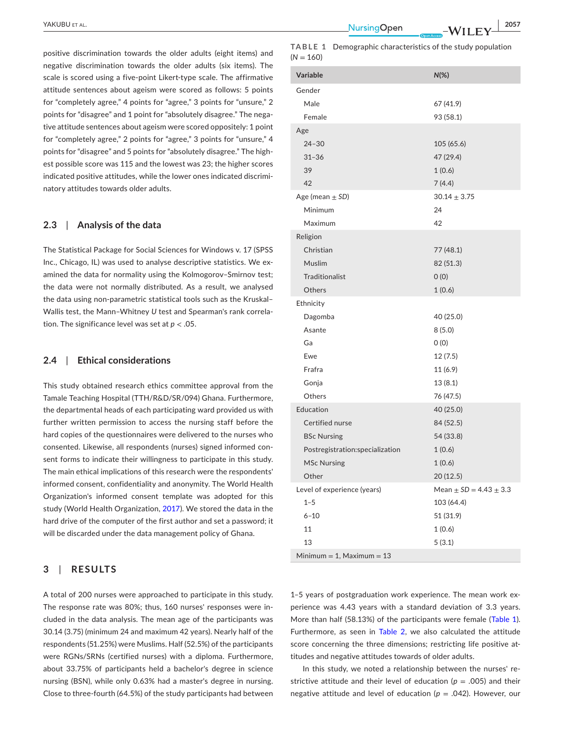positive discrimination towards the older adults (eight items) and negative discrimination towards the older adults (six items). The scale is scored using a five-point Likert-type scale. The affirmative attitude sentences about ageism were scored as follows: 5 points for "completely agree," 4 points for "agree," 3 points for "unsure," 2 points for "disagree" and 1 point for "absolutely disagree." The negative attitude sentences about ageism were scored oppositely: 1 point for "completely agree," 2 points for "agree," 3 points for "unsure," 4 points for "disagree" and 5 points for "absolutely disagree." The highest possible score was 115 and the lowest was 23; the higher scores indicated positive attitudes, while the lower ones indicated discriminatory attitudes towards older adults.

#### **2.3**  | **Analysis of the data**

The Statistical Package for Social Sciences for Windows v. 17 (SPSS Inc., Chicago, IL) was used to analyse descriptive statistics. We examined the data for normality using the Kolmogorov–Smirnov test; the data were not normally distributed. As a result, we analysed the data using non-parametric statistical tools such as the Kruskal– Wallis test, the Mann–Whitney *U* test and Spearman's rank correlation. The significance level was set at *p* < .05.

#### **2.4**  | **Ethical considerations**

This study obtained research ethics committee approval from the Tamale Teaching Hospital (TTH/R&D/SR/094) Ghana. Furthermore, the departmental heads of each participating ward provided us with further written permission to access the nursing staff before the hard copies of the questionnaires were delivered to the nurses who consented. Likewise, all respondents (nurses) signed informed consent forms to indicate their willingness to participate in this study. The main ethical implications of this research were the respondents' informed consent, confidentiality and anonymity. The World Health Organization's informed consent template was adopted for this study (World Health Organization, [2017](#page-9-12)). We stored the data in the hard drive of the computer of the first author and set a password; it will be discarded under the data management policy of Ghana.

## **3**  | **RESULTS**

A total of 200 nurses were approached to participate in this study. The response rate was 80%; thus, 160 nurses' responses were included in the data analysis. The mean age of the participants was 30.14 (3.75) (minimum 24 and maximum 42 years). Nearly half of the respondents (51.25%) were Muslims. Half (52.5%) of the participants were RGNs/SRNs (certified nurses) with a diploma. Furthermore, about 33.75% of participants held a bachelor's degree in science nursing (BSN), while only 0.63% had a master's degree in nursing. Close to three-fourth (64.5%) of the study participants had between

 YAKUBU et al. **<sup>|</sup> 2057**

<span id="page-4-0"></span>

|             | <b>TABLE 1</b> Demographic characteristics of the study population |
|-------------|--------------------------------------------------------------------|
| $(N = 160)$ |                                                                    |

| <b>Variable</b>                 | $N(\%)$                        |  |  |  |
|---------------------------------|--------------------------------|--|--|--|
| Gender                          |                                |  |  |  |
| Male                            | 67 (41.9)                      |  |  |  |
| Female                          | 93 (58.1)                      |  |  |  |
| Age                             |                                |  |  |  |
| $24 - 30$                       | 105 (65.6)                     |  |  |  |
| $31 - 36$                       | 47 (29.4)                      |  |  |  |
| 39                              | 1(0.6)                         |  |  |  |
| 42                              | 7(4.4)                         |  |  |  |
| Age (mean $\pm$ SD)             | $30.14 \pm 3.75$               |  |  |  |
| Minimum                         | 24                             |  |  |  |
| Maximum                         | 42                             |  |  |  |
| Religion                        |                                |  |  |  |
| Christian                       | 77 (48.1)                      |  |  |  |
| Muslim                          | 82 (51.3)                      |  |  |  |
| Traditionalist                  | O(0)                           |  |  |  |
| Others                          | 1(0.6)                         |  |  |  |
| Ethnicity                       |                                |  |  |  |
| Dagomba                         | 40 (25.0)                      |  |  |  |
| Asante                          | 8(5.0)                         |  |  |  |
| Ga                              | 0(0)                           |  |  |  |
| Ewe                             | 12(7.5)                        |  |  |  |
| Frafra                          | 11 (6.9)                       |  |  |  |
| Gonja                           | 13(8.1)                        |  |  |  |
| Others                          | 76 (47.5)                      |  |  |  |
| Education                       | 40 (25.0)                      |  |  |  |
| Certified nurse                 | 84 (52.5)                      |  |  |  |
| <b>BSc Nursing</b>              | 54 (33.8)                      |  |  |  |
| Postregistration:specialization | 1(0.6)                         |  |  |  |
| <b>MSc Nursing</b>              | 1(0.6)                         |  |  |  |
| Other                           | 20 (12.5)                      |  |  |  |
| Level of experience (years)     | Mean $\pm$ SD = 4.43 $\pm$ 3.3 |  |  |  |
| $1 - 5$                         | 103 (64.4)                     |  |  |  |
| $6 - 10$                        | 51 (31.9)                      |  |  |  |
| 11                              | 1(0.6)                         |  |  |  |
| 13                              | 5(3.1)                         |  |  |  |
| $Minimum = 1$ , Maximum = 13    |                                |  |  |  |

1–5 years of postgraduation work experience. The mean work experience was 4.43 years with a standard deviation of 3.3 years. More than half (58.13%) of the participants were female (Table [1\)](#page-4-0). Furthermore, as seen in Table [2,](#page-5-0) we also calculated the attitude score concerning the three dimensions; restricting life positive attitudes and negative attitudes towards of older adults.

In this study, we noted a relationship between the nurses' restrictive attitude and their level of education ( $p = .005$ ) and their negative attitude and level of education (*p* = .042). However, our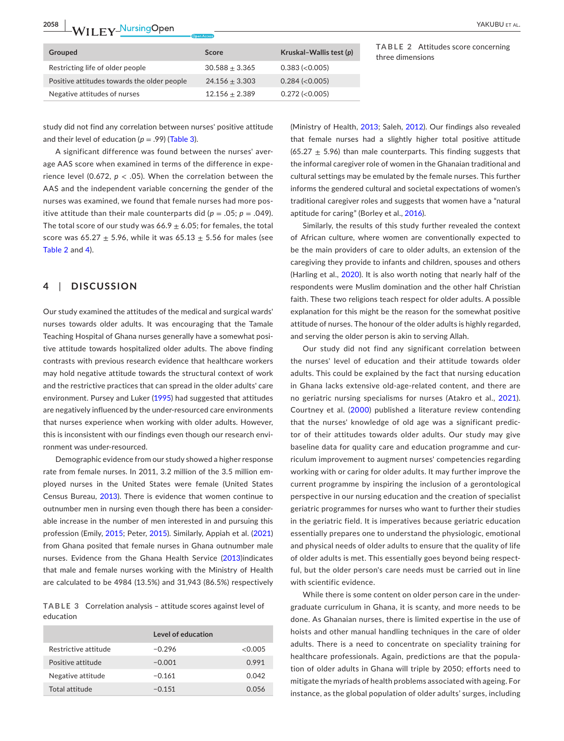**2058 <sup>|</sup>**  YAKUBU et al.

| Grouped                                     | Score            | Kruskal-Wallis test (p) |
|---------------------------------------------|------------------|-------------------------|
| Restricting life of older people            | $30.588 + 3.365$ | $0.383$ ( $< 0.005$ )   |
| Positive attitudes towards the older people | $24.156 + 3.303$ | $0.284$ ( $< 0.005$ )   |
| Negative attitudes of nurses                | $12.156 + 2.389$ | $0.272$ ( $<$ 0.005)    |

<span id="page-5-0"></span>**TABLE 2** Attitudes score concerning three dimensions

study did not find any correlation between nurses' positive attitude and their level of education  $(p = .99)$  (Table [3](#page-5-1)).

A significant difference was found between the nurses' average AAS score when examined in terms of the difference in experience level (0.672,  $p < .05$ ). When the correlation between the AAS and the independent variable concerning the gender of the nurses was examined, we found that female nurses had more positive attitude than their male counterparts did ( $p = .05$ ;  $p = .049$ ). The total score of our study was  $66.9 \pm 6.05$ ; for females, the total score was 65.27  $\pm$  5.96, while it was 65.13  $\pm$  5.56 for males (see Table [2](#page-5-0) and [4\)](#page-6-0).

### **4**  | **DISCUSSION**

Our study examined the attitudes of the medical and surgical wards' nurses towards older adults. It was encouraging that the Tamale Teaching Hospital of Ghana nurses generally have a somewhat positive attitude towards hospitalized older adults. The above finding contrasts with previous research evidence that healthcare workers may hold negative attitude towards the structural context of work and the restrictive practices that can spread in the older adults' care environment. Pursey and Luker [\(1995\)](#page-9-17) had suggested that attitudes are negatively influenced by the under-resourced care environments that nurses experience when working with older adults. However, this is inconsistent with our findings even though our research environment was under-resourced.

Demographic evidence from our study showed a higher response rate from female nurses. In 2011, 3.2 million of the 3.5 million employed nurses in the United States were female (United States Census Bureau, [2013](#page-9-18)). There is evidence that women continue to outnumber men in nursing even though there has been a considerable increase in the number of men interested in and pursuing this profession (Emily, [2015;](#page-8-15) Peter, [2015](#page-9-19)). Similarly, Appiah et al. ([2021](#page-8-16)) from Ghana posited that female nurses in Ghana outnumber male nurses. Evidence from the Ghana Health Service [\(2013](#page-8-17))indicates that male and female nurses working with the Ministry of Health are calculated to be 4984 (13.5%) and 31,943 (86.5%) respectively

<span id="page-5-1"></span>**TABLE 3** Correlation analysis – attitude scores against level of education

|                      | Level of education |              |
|----------------------|--------------------|--------------|
| Restrictive attitude | $-0.296$           | <0.005       |
| Positive attitude    | $-0.001$           | 0.991        |
| Negative attitude    | $-0.161$           | 0.042        |
| Total attitude       | $-0.151$           | <u>በ በ56</u> |

(Ministry of Health, [2013](#page-9-20); Saleh, [2012](#page-9-21)). Our findings also revealed that female nurses had a slightly higher total positive attitude (65.27  $\pm$  5.96) than male counterparts. This finding suggests that the informal caregiver role of women in the Ghanaian traditional and cultural settings may be emulated by the female nurses. This further informs the gendered cultural and societal expectations of women's traditional caregiver roles and suggests that women have a "natural aptitude for caring" (Borley et al., [2016\)](#page-8-18).

Similarly, the results of this study further revealed the context of African culture, where women are conventionally expected to be the main providers of care to older adults, an extension of the caregiving they provide to infants and children, spouses and others (Harling et al., [2020](#page-9-22)). It is also worth noting that nearly half of the respondents were Muslim domination and the other half Christian faith. These two religions teach respect for older adults. A possible explanation for this might be the reason for the somewhat positive attitude of nurses. The honour of the older adults is highly regarded, and serving the older person is akin to serving Allah.

Our study did not find any significant correlation between the nurses' level of education and their attitude towards older adults. This could be explained by the fact that nursing education in Ghana lacks extensive old-age-related content, and there are no geriatric nursing specialisms for nurses (Atakro et al., [2021](#page-8-6)). Courtney et al. ([2000\)](#page-8-19) published a literature review contending that the nurses' knowledge of old age was a significant predictor of their attitudes towards older adults. Our study may give baseline data for quality care and education programme and curriculum improvement to augment nurses' competencies regarding working with or caring for older adults. It may further improve the current programme by inspiring the inclusion of a gerontological perspective in our nursing education and the creation of specialist geriatric programmes for nurses who want to further their studies in the geriatric field. It is imperatives because geriatric education essentially prepares one to understand the physiologic, emotional and physical needs of older adults to ensure that the quality of life of older adults is met. This essentially goes beyond being respectful, but the older person's care needs must be carried out in line with scientific evidence.

While there is some content on older person care in the undergraduate curriculum in Ghana, it is scanty, and more needs to be done. As Ghanaian nurses, there is limited expertise in the use of hoists and other manual handling techniques in the care of older adults. There is a need to concentrate on speciality training for healthcare professionals. Again, predictions are that the population of older adults in Ghana will triple by 2050; efforts need to mitigate the myriads of health problems associated with ageing. For instance, as the global population of older adults' surges, including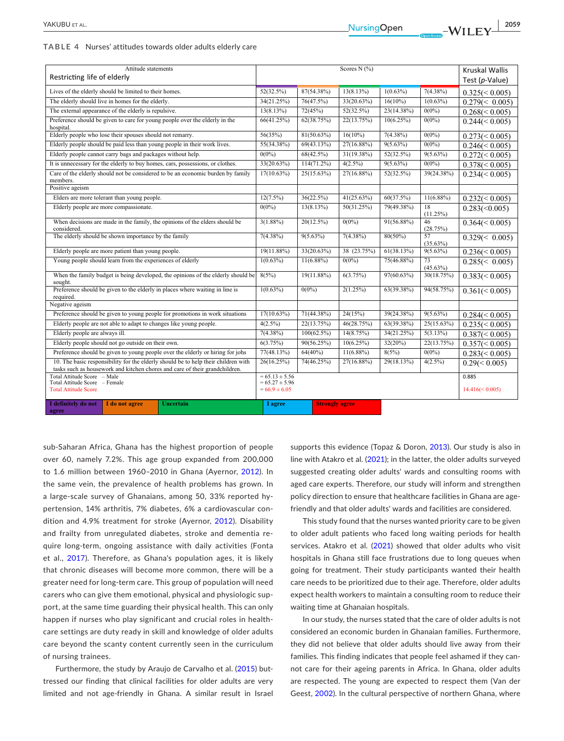<span id="page-6-0"></span>

| Attitude statements<br>Restricting life of elderly                                                                                                                |                                                             |                                                                                 | Scores N (%)  |                       |               |                    | <b>Kruskal Wallis</b><br>Test (p-Value) |                      |
|-------------------------------------------------------------------------------------------------------------------------------------------------------------------|-------------------------------------------------------------|---------------------------------------------------------------------------------|---------------|-----------------------|---------------|--------------------|-----------------------------------------|----------------------|
|                                                                                                                                                                   |                                                             |                                                                                 |               |                       |               |                    |                                         |                      |
| Lives of the elderly should be limited to their homes.<br>The elderly should live in homes for the elderly.                                                       |                                                             |                                                                                 | 52(32.5%)     | 87(54.38%)            | 13(8.13%)     | $1(0.63\%)$        | $7(4.38\%)$                             | $0.325 \leq 0.005$   |
|                                                                                                                                                                   | 34(21.25%)                                                  | 76(47.5%)                                                                       | 33(20.63%)    | $16(10\%)$            | $1(0.63\%)$   | $0.279 \leq 0.005$ |                                         |                      |
|                                                                                                                                                                   | The external appearance of the elderly is repulsive.        |                                                                                 | 13(8.13%)     | 72(45%)               | $52(32.5\%)$  | 23(14.38%)         | $0(0\%)$                                | $0.268 \le 0.005$    |
| Preference should be given to care for young people over the elderly in the<br>hospital.                                                                          |                                                             |                                                                                 | 66(41.25%)    | 62(38.75%)            | 22(13.75%)    | 10(6.25%)          | $0(0\%)$                                | $0.244 \leq 0.005$   |
|                                                                                                                                                                   | Elderly people who lose their spouses should not remarry.   |                                                                                 | 56(35%)       | 81(50.63%)            | $16(10\%)$    | $7(4.38\%)$        | $0(0\%)$                                | $0.273 \leq 0.005$   |
|                                                                                                                                                                   |                                                             | Elderly people should be paid less than young people in their work lives.       | 55(34.38%)    | 69(43.13%)            | 27(16.88%)    | $9(5.63\%)$        | $0(0\%)$                                | $0.246 \leq 0.005$   |
|                                                                                                                                                                   | Elderly people cannot carry bags and packages without help. |                                                                                 | $0(0\%)$      | 68(42.5%)             | 31(19.38%)    | 52(32.5%)          | $9(5.63\%)$                             | $0.272 \leq 0.005$   |
|                                                                                                                                                                   |                                                             | It is unnecessary for the elderly to buy homes, cars, possessions, or clothes.  | 33(20.63%)    | $114(71.2\%)$         | $4(2.5\%)$    | $9(5.63\%)$        | $0(0\%)$                                | $0.378 \leq 0.005$   |
| members.                                                                                                                                                          |                                                             | Care of the elderly should not be considered to be an economic burden by family | $17(10.63\%)$ | $25(15.63\%)$         | 27(16.88%)    | 52(32.5%)          | 39(24.38%)                              | $0.234 \leq 0.005$   |
| Positive ageism                                                                                                                                                   |                                                             |                                                                                 |               |                       |               |                    |                                         |                      |
|                                                                                                                                                                   | Elders are more tolerant than young people.                 |                                                                                 | $12(7.5\%)$   | 36(22.5%)             | $41(25.63\%)$ | 60(37.5%)          | $11(6.88\%)$                            | $0.232 \leq 0.005$   |
| Elderly people are more compassionate.                                                                                                                            |                                                             |                                                                                 | $0(0\%)$      | 13(8.13%)             | 50(31.25%)    | 79(49.38%)         | 18<br>(11.25%)                          | $0.283 \times 0.005$ |
| When decisions are made in the family, the opinions of the elders should be<br>considered.                                                                        |                                                             |                                                                                 | $3(1.88\%)$   | 20(12.5%)             | $0(0\%)$      | 91(56.88%)         | 46<br>(28.75%)                          | $0.364 \leq 0.005$   |
| The elderly should be shown importance by the family                                                                                                              |                                                             |                                                                                 | $7(4.38\%)$   | $9(5.63\%)$           | $7(4.38\%)$   | $80(50\%)$         | 57<br>$(35.63\%)$                       | $0.329 \leq 0.005$   |
|                                                                                                                                                                   | Elderly people are more patient than young people.          |                                                                                 | 19(11.88%)    | 33(20.63%)            | 38 (23.75%)   | 61(38.13%)         | $9(5.63\%)$                             | $0.236 \le 0.005$    |
| Young people should learn from the experiences of elderly                                                                                                         |                                                             |                                                                                 | $1(0.63\%)$   | $11(6.88\%)$          | $0(0\%)$      | 75(46.88%)         | 73<br>$(45.63\%)$                       | $0.285 \leq 0.005$   |
| When the family budget is being developed, the opinions of the elderly should be<br>sought.                                                                       |                                                             |                                                                                 | 8(5%)         | 19(11.88%)            | 6(3.75%)      | 97(60.63%)         | 30(18.75%)                              | $0.383 \leq 0.005$   |
| Preference should be given to the elderly in places where waiting in line is<br>required.                                                                         |                                                             |                                                                                 | $1(0.63\%)$   | $0(0\%)$              | 2(1.25%)      | 63(39.38%)         | 94(58.75%)                              | $0.361 \le 0.005$    |
| Negative ageism                                                                                                                                                   |                                                             |                                                                                 |               |                       |               |                    |                                         |                      |
| Preference should be given to young people for promotions in work situations                                                                                      |                                                             |                                                                                 | $17(10.63\%)$ | 71(44.38%)            | 24(15%)       | 39(24.38%)         | $9(5.63\%)$                             | $0.284 \leq 0.005$   |
| Elderly people are not able to adapt to changes like young people.                                                                                                |                                                             |                                                                                 | $4(2.5\%)$    | 22(13.75%)            | 46(28.75%)    | 63(39.38%)         | $25(15.63\%)$                           | $0.235 \leq 0.005$   |
| Elderly people are always ill.                                                                                                                                    |                                                             |                                                                                 | $7(4.38\%)$   | $100(62.5\%)$         | $14(8.75\%)$  | 34(21.25%)         | 5(3.13%)                                | $0.387 \leq 0.005$   |
| Elderly people should not go outside on their own.                                                                                                                |                                                             |                                                                                 | 6(3.75%)      | 90(56.25%)            | $10(6.25\%)$  | $32(20\%)$         | 22(13.75%)                              | $0.357 \leq 0.005$   |
| Preference should be given to young people over the elderly or hiring for jobs                                                                                    |                                                             |                                                                                 | 77(48.13%)    | $64(40\%)$            | $11(6.88\%)$  | 8(5%)              | $0(0\%)$                                | $0.283 \leq 0.005$   |
| 10. The basic responsibility for the elderly should be to help their children with<br>tasks such as housework and kitchen chores and care of their grandchildren. |                                                             |                                                                                 | 26(16.25%)    | 74(46.25%)            | 27(16.88%)    | 29(18.13%)         | $4(2.5\%)$                              | $0.29 \leq 0.005$    |
| Total Attitude Score - Male                                                                                                                                       | $= 65.13 \pm 5.56$                                          |                                                                                 |               |                       |               | 0.885              |                                         |                      |
| Total Attitude Score - Female<br><b>Total Attitude Score</b>                                                                                                      | $= 65.27 \pm 5.96$<br>$= 66.9 \pm 6.05$                     |                                                                                 |               |                       |               | $14.416 \le 0.005$ |                                         |                      |
| I definitely do not<br>agree                                                                                                                                      | I do not agree                                              | <b>Uncertain</b>                                                                | I agree       | <b>Strongly agree</b> |               |                    |                                         |                      |

sub-Saharan Africa, Ghana has the highest proportion of people over 60, namely 7.2%. This age group expanded from 200,000 to 1.6 million between 1960–2010 in Ghana (Ayernor, [2012\)](#page-8-20). In the same vein, the prevalence of health problems has grown. In a large-scale survey of Ghanaians, among 50, 33% reported hypertension, 14% arthritis, 7% diabetes, 6% a cardiovascular condition and 4.9% treatment for stroke (Ayernor, [2012\)](#page-8-20). Disability and frailty from unregulated diabetes, stroke and dementia require long-term, ongoing assistance with daily activities (Fonta et al., [2017](#page-8-21)). Therefore, as Ghana's population ages, it is likely that chronic diseases will become more common, there will be a greater need for long-term care. This group of population will need carers who can give them emotional, physical and physiologic support, at the same time guarding their physical health. This can only happen if nurses who play significant and crucial roles in healthcare settings are duty ready in skill and knowledge of older adults care beyond the scanty content currently seen in the curriculum of nursing trainees.

Furthermore, the study by Araujo de Carvalho et al. ([2015](#page-8-22)) buttressed our finding that clinical facilities for older adults are very limited and not age-friendly in Ghana. A similar result in Israel

supports this evidence (Topaz & Doron, [2013](#page-9-23)). Our study is also in line with Atakro et al. ([2021](#page-8-6)); in the latter, the older adults surveyed suggested creating older adults' wards and consulting rooms with aged care experts. Therefore, our study will inform and strengthen policy direction to ensure that healthcare facilities in Ghana are agefriendly and that older adults' wards and facilities are considered.

This study found that the nurses wanted priority care to be given to older adult patients who faced long waiting periods for health services. Atakro et al. ([2021\)](#page-8-6) showed that older adults who visit hospitals in Ghana still face frustrations due to long queues when going for treatment. Their study participants wanted their health care needs to be prioritized due to their age. Therefore, older adults expect health workers to maintain a consulting room to reduce their waiting time at Ghanaian hospitals.

In our study, the nurses stated that the care of older adults is not considered an economic burden in Ghanaian families. Furthermore, they did not believe that older adults should live away from their families. This finding indicates that people feel ashamed if they cannot care for their ageing parents in Africa. In Ghana, older adults are respected. The young are expected to respect them (Van der Geest, [2002\)](#page-9-24). In the cultural perspective of northern Ghana, where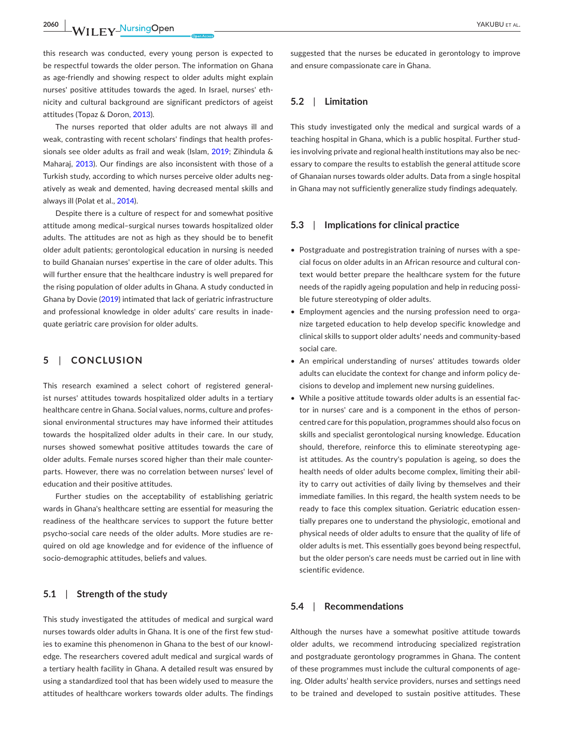**2060 <sup>|</sup>**  YAKUBU et al.

this research was conducted, every young person is expected to be respectful towards the older person. The information on Ghana as age-friendly and showing respect to older adults might explain nurses' positive attitudes towards the aged. In Israel, nurses' ethnicity and cultural background are significant predictors of ageist attitudes (Topaz & Doron, [2013\)](#page-9-23).

The nurses reported that older adults are not always ill and weak, contrasting with recent scholars' findings that health professionals see older adults as frail and weak (Islam, [2019;](#page-9-25) Zihindula & Maharaj, [2013\)](#page-9-26). Our findings are also inconsistent with those of a Turkish study, according to which nurses perceive older adults negatively as weak and demented, having decreased mental skills and always ill (Polat et al., [2014\)](#page-9-27).

Despite there is a culture of respect for and somewhat positive attitude among medical–surgical nurses towards hospitalized older adults. The attitudes are not as high as they should be to benefit older adult patients; gerontological education in nursing is needed to build Ghanaian nurses' expertise in the care of older adults. This will further ensure that the healthcare industry is well prepared for the rising population of older adults in Ghana. A study conducted in Ghana by Dovie ([2019](#page-8-23)) intimated that lack of geriatric infrastructure and professional knowledge in older adults' care results in inadequate geriatric care provision for older adults.

## **5**  | **CONCLUSION**

This research examined a select cohort of registered generalist nurses' attitudes towards hospitalized older adults in a tertiary healthcare centre in Ghana. Social values, norms, culture and professional environmental structures may have informed their attitudes towards the hospitalized older adults in their care. In our study, nurses showed somewhat positive attitudes towards the care of older adults. Female nurses scored higher than their male counterparts. However, there was no correlation between nurses' level of education and their positive attitudes.

Further studies on the acceptability of establishing geriatric wards in Ghana's healthcare setting are essential for measuring the readiness of the healthcare services to support the future better psycho-social care needs of the older adults. More studies are required on old age knowledge and for evidence of the influence of socio-demographic attitudes, beliefs and values.

#### **5.1**  | **Strength of the study**

This study investigated the attitudes of medical and surgical ward nurses towards older adults in Ghana. It is one of the first few studies to examine this phenomenon in Ghana to the best of our knowledge. The researchers covered adult medical and surgical wards of a tertiary health facility in Ghana. A detailed result was ensured by using a standardized tool that has been widely used to measure the attitudes of healthcare workers towards older adults. The findings

suggested that the nurses be educated in gerontology to improve and ensure compassionate care in Ghana.

### **5.2**  | **Limitation**

This study investigated only the medical and surgical wards of a teaching hospital in Ghana, which is a public hospital. Further studies involving private and regional health institutions may also be necessary to compare the results to establish the general attitude score of Ghanaian nurses towards older adults. Data from a single hospital in Ghana may not sufficiently generalize study findings adequately.

#### **5.3**  | **Implications for clinical practice**

- Postgraduate and postregistration training of nurses with a special focus on older adults in an African resource and cultural context would better prepare the healthcare system for the future needs of the rapidly ageing population and help in reducing possible future stereotyping of older adults.
- Employment agencies and the nursing profession need to organize targeted education to help develop specific knowledge and clinical skills to support older adults' needs and community-based social care.
- An empirical understanding of nurses' attitudes towards older adults can elucidate the context for change and inform policy decisions to develop and implement new nursing guidelines.
- While a positive attitude towards older adults is an essential factor in nurses' care and is a component in the ethos of personcentred care for this population, programmes should also focus on skills and specialist gerontological nursing knowledge. Education should, therefore, reinforce this to eliminate stereotyping ageist attitudes. As the country's population is ageing, so does the health needs of older adults become complex, limiting their ability to carry out activities of daily living by themselves and their immediate families. In this regard, the health system needs to be ready to face this complex situation. Geriatric education essentially prepares one to understand the physiologic, emotional and physical needs of older adults to ensure that the quality of life of older adults is met. This essentially goes beyond being respectful, but the older person's care needs must be carried out in line with scientific evidence.

#### **5.4**  | **Recommendations**

Although the nurses have a somewhat positive attitude towards older adults, we recommend introducing specialized registration and postgraduate gerontology programmes in Ghana. The content of these programmes must include the cultural components of ageing. Older adults' health service providers, nurses and settings need to be trained and developed to sustain positive attitudes. These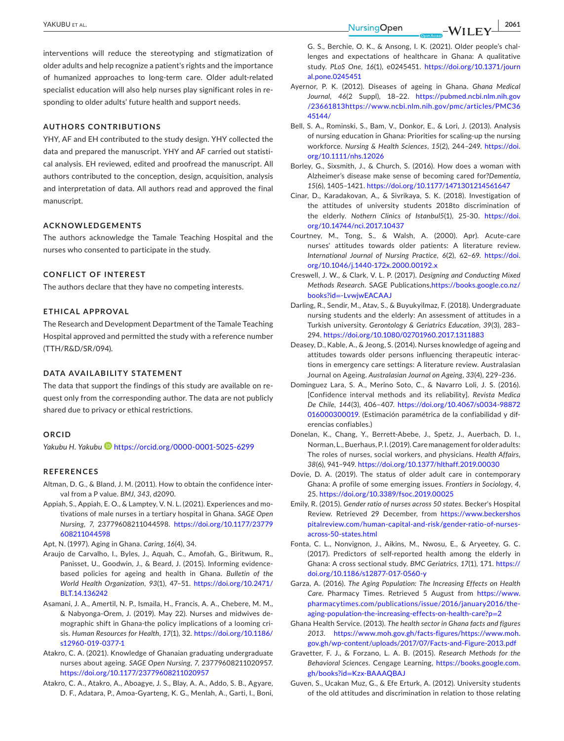interventions will reduce the stereotyping and stigmatization of older adults and help recognize a patient's rights and the importance of humanized approaches to long-term care. Older adult-related specialist education will also help nurses play significant roles in responding to older adults' future health and support needs.

## **AUTHORS CONTRIBUTIONS**

YHY, AF and EH contributed to the study design. YHY collected the data and prepared the manuscript. YHY and AF carried out statistical analysis. EH reviewed, edited and proofread the manuscript. All authors contributed to the conception, design, acquisition, analysis and interpretation of data. All authors read and approved the final manuscript.

## **ACKNOWLEDGEMENTS**

The authors acknowledge the Tamale Teaching Hospital and the nurses who consented to participate in the study.

## **CONFLICT OF INTEREST**

The authors declare that they have no competing interests.

## **ETHICAL APPROVAL**

The Research and Development Department of the Tamale Teaching Hospital approved and permitted the study with a reference number (TTH/R&D/SR/094).

#### **DATA AVAILABILITY STATEMENT**

The data that support the findings of this study are available on request only from the corresponding author. The data are not publicly shared due to privacy or ethical restrictions.

#### **ORCID**

*Yakubu H. Yakubu* <https://orcid.org/0000-0001-5025-6299>

#### **REFERENCES**

- <span id="page-8-12"></span>Altman, D. G., & Bland, J. M. (2011). How to obtain the confidence interval from a P value. *BMJ*, *343*, d2090.
- <span id="page-8-16"></span>Appiah, S., Appiah, E. O., & Lamptey, V. N. L. (2021). Experiences and motivations of male nurses in a tertiary hospital in Ghana. *SAGE Open Nursing*, *7*, 23779608211044598. [https://doi.org/10.1177/23779](https://doi.org/10.1177/23779608211044598) [608211044598](https://doi.org/10.1177/23779608211044598)

<span id="page-8-2"></span>Apt, N. (1997). Aging in Ghana. *Caring*, *16*(4), 34.

- <span id="page-8-22"></span>Araujo de Carvalho, I., Byles, J., Aquah, C., Amofah, G., Biritwum, R., Panisset, U., Goodwin, J., & Beard, J. (2015). Informing evidencebased policies for ageing and health in Ghana. *Bulletin of the World Health Organization*, *93*(1), 47–51. [https://doi.org/10.2471/](https://doi.org/10.2471/BLT.14.136242) [BLT.14.136242](https://doi.org/10.2471/BLT.14.136242)
- <span id="page-8-8"></span>Asamani, J. A., Amertil, N. P., Ismaila, H., Francis, A. A., Chebere, M. M., & Nabyonga-Orem, J. (2019). May 22). Nurses and midwives demographic shift in Ghana-the policy implications of a looming crisis. *Human Resources for Health*, *17*(1), 32. [https://doi.org/10.1186/](https://doi.org/10.1186/s12960-019-0377-1) [s12960-019-0377-1](https://doi.org/10.1186/s12960-019-0377-1)
- <span id="page-8-9"></span>Atakro, C. A. (2021). Knowledge of Ghanaian graduating undergraduate nurses about ageing. *SAGE Open Nursing*, *7*, 23779608211020957. <https://doi.org/10.1177/23779608211020957>
- <span id="page-8-6"></span>Atakro, C. A., Atakro, A., Aboagye, J. S., Blay, A. A., Addo, S. B., Agyare, D. F., Adatara, P., Amoa-Gyarteng, K. G., Menlah, A., Garti, I., Boni,

G. S., Berchie, O. K., & Ansong, I. K. (2021). Older people's challenges and expectations of healthcare in Ghana: A qualitative study. *PLoS One*, *16*(1), e0245451. [https://doi.org/10.1371/journ](https://doi.org/10.1371/journal.pone.0245451) [al.pone.0245451](https://doi.org/10.1371/journal.pone.0245451)

- <span id="page-8-20"></span>Ayernor, P. K. (2012). Diseases of ageing in Ghana. *Ghana Medical Journal*, *46*(2 Suppl), 18–22. [https://pubmed.ncbi.nlm.nih.gov](https://pubmed.ncbi.nlm.nih.gov/23661813) [/23661813](https://pubmed.ncbi.nlm.nih.gov/23661813)[https://www.ncbi.nlm.nih.gov/pmc/articles/PMC36](https://www.ncbi.nlm.nih.gov/pmc/articles/PMC3645144/) [45144/](https://www.ncbi.nlm.nih.gov/pmc/articles/PMC3645144/)
- <span id="page-8-7"></span>Bell, S. A., Rominski, S., Bam, V., Donkor, E., & Lori, J. (2013). Analysis of nursing education in Ghana: Priorities for scaling-up the nursing workforce. *Nursing & Health Sciences*, *15*(2), 244–249. [https://doi.](https://doi.org/10.1111/nhs.12026) [org/10.1111/nhs.12026](https://doi.org/10.1111/nhs.12026)
- <span id="page-8-18"></span>Borley, G., Sixsmith, J., & Church, S. (2016). How does a woman with Alzheimer's disease make sense of becoming cared for?*Dementia*, *15*(6), 1405–1421.<https://doi.org/10.1177/1471301214561647>
- <span id="page-8-5"></span>Cinar, D., Karadakovan, A., & Sivrikaya, S. K. (2018). Investigation of the attitudes of university students 2018to discrimination of the elderly. *Nothern Clinics of Istanbul5*(1), 25-30. [https://doi.](https://doi.org/10.14744/nci.2017.10437) [org/10.14744/nci.2017.10437](https://doi.org/10.14744/nci.2017.10437)
- <span id="page-8-19"></span>Courtney, M., Tong, S., & Walsh, A. (2000). Apr). Acute-care nurses' attitudes towards older patients: A literature review. *International Journal of Nursing Practice*, *6*(2), 62–69. [https://doi.](https://doi.org/10.1046/j.1440-172x.2000.00192.x) [org/10.1046/j.1440-172x.2000.00192.x](https://doi.org/10.1046/j.1440-172x.2000.00192.x)
- <span id="page-8-10"></span>Creswell, J. W., & Clark, V. L. P. (2017). *Designing and Conducting Mixed Methods Research*. SAGE Publications,[https://books.google.co.nz/](https://books.google.co.nz/books?id=-LvwjwEACAAJ) books?id=[-LvwjwEACAAJ](https://books.google.co.nz/books?id=-LvwjwEACAAJ)
- <span id="page-8-14"></span>Darling, R., Sendir, M., Atav, S., & Buyukyilmaz, F. (2018). Undergraduate nursing students and the elderly: An assessment of attitudes in a Turkish university. *Gerontology & Geriatrics Education*, *39*(3), 283– 294. <https://doi.org/10.1080/02701960.2017.1311883>
- <span id="page-8-4"></span>Deasey, D., Kable, A., & Jeong, S. (2014). Nurses knowledge of ageing and attitudes towards older persons influencing therapeutic interactions in emergency care settings: A literature review. Australasian Journal on Ageing. *Australasian Journal on Ageing*, *33*(4), 229–236.
- <span id="page-8-13"></span>Dominguez Lara, S. A., Merino Soto, C., & Navarro Loli, J. S. (2016). [Confidence interval methods and its reliability]. *Revista Medica De Chile*, *144*(3), 406–407. [https://doi.org/10.4067/s0034-98872](https://doi.org/10.4067/s0034-98872016000300019) [016000300019](https://doi.org/10.4067/s0034-98872016000300019). (Estimación paramétrica de la confiabilidad y diferencias confiables.)
- <span id="page-8-1"></span>Donelan, K., Chang, Y., Berrett-Abebe, J., Spetz, J., Auerbach, D. I., Norman, L., Buerhaus, P. I. (2019). Care management for older adults: The roles of nurses, social workers, and physicians. *Health Affairs*, *38*(6), 941–949.<https://doi.org/10.1377/hlthaff.2019.00030>
- <span id="page-8-23"></span>Dovie, D. A. (2019). The status of older adult care in contemporary Ghana: A profile of some emerging issues. *Frontiers in Sociology*, *4*, 25.<https://doi.org/10.3389/fsoc.2019.00025>
- <span id="page-8-15"></span>Emily, R. (2015). *Gender ratio of nurses across 50 states*. Becker's Hospital Review. Retrieved 29 December, from [https://www.beckershos](https://www.beckershospitalreview.com/human-capital-and-risk/gender-ratio-of-nurses-across-50-states.html) [pitalreview.com/human-capital-and-risk/gender-ratio-of-nurses](https://www.beckershospitalreview.com/human-capital-and-risk/gender-ratio-of-nurses-across-50-states.html)[across-50-states.html](https://www.beckershospitalreview.com/human-capital-and-risk/gender-ratio-of-nurses-across-50-states.html)
- <span id="page-8-21"></span>Fonta, C. L., Nonvignon, J., Aikins, M., Nwosu, E., & Aryeetey, G. C. (2017). Predictors of self-reported health among the elderly in Ghana: A cross sectional study. *BMC Geriatrics*, *17*(1), 171. [https://](https://doi.org/10.1186/s12877-017-0560-y) [doi.org/10.1186/s12877-017-0560-y](https://doi.org/10.1186/s12877-017-0560-y)
- <span id="page-8-0"></span>Garza, A. (2016). *The Aging Population: The Increasing Effects on Health Care*. Pharmacy Times. Retrieved 5 August from [https://www.](https://www.pharmacytimes.com/publications/issue/2016/january2016/the-aging-population-the-increasing-effects-on-health-care?p=2) [pharmacytimes.com/publications/issue/2016/january2016/the](https://www.pharmacytimes.com/publications/issue/2016/january2016/the-aging-population-the-increasing-effects-on-health-care?p=2)[aging-population-the-increasing-effects-on-health-care?p](https://www.pharmacytimes.com/publications/issue/2016/january2016/the-aging-population-the-increasing-effects-on-health-care?p=2)=2
- <span id="page-8-17"></span>Ghana Health Service. (2013). *The health sector in Ghana facts and figures 2013*. [https://www.moh.gov.gh/facts-figures/https://www.moh.](https://www.moh.gov.gh/facts-figures/https://www.moh.gov.gh/wp-content/uploads/2017/07/Facts-and-Figure-2013.pdf) [gov.gh/wp-content/uploads/2017/07/Facts-and-Figure-2013.pdf](https://www.moh.gov.gh/facts-figures/https://www.moh.gov.gh/wp-content/uploads/2017/07/Facts-and-Figure-2013.pdf)
- <span id="page-8-11"></span>Gravetter, F. J., & Forzano, L. A. B. (2015). *Research Methods for the Behavioral Sciences*. Cengage Learning, [https://books.google.com.](https://books.google.com.gh/books?id=Kzx-BAAAQBAJ) gh/books?id=[Kzx-BAAAQBAJ](https://books.google.com.gh/books?id=Kzx-BAAAQBAJ)
- <span id="page-8-3"></span>Guven, S., Ucakan Muz, G., & Efe Erturk, A. (2012). University students of the old attitudes and discrimination in relation to those relating